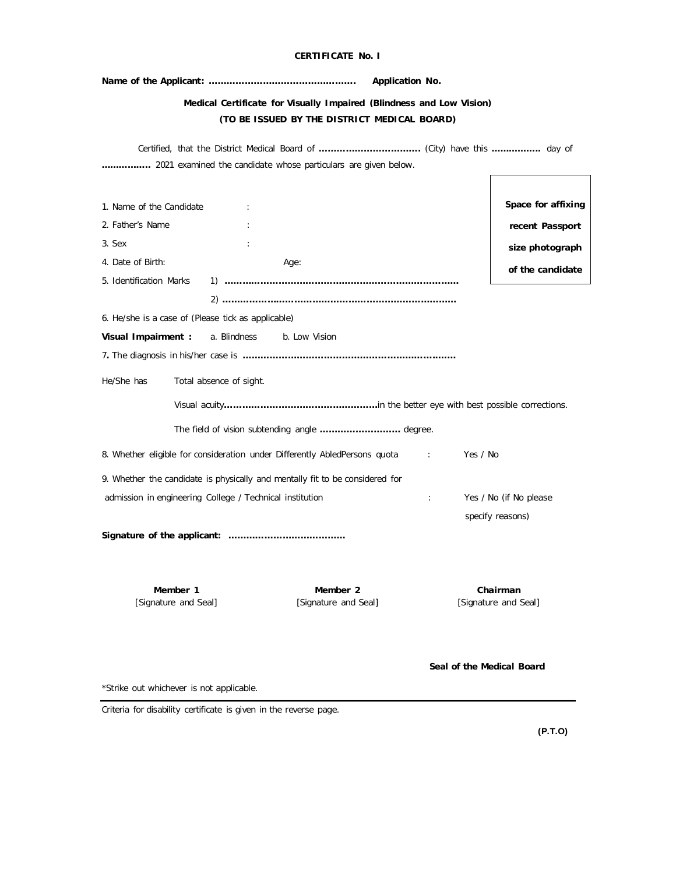|                                                                                                        | <b>CERTIFICATE No. I</b>                                                                                                                                                                                               |                      |                                                                              |
|--------------------------------------------------------------------------------------------------------|------------------------------------------------------------------------------------------------------------------------------------------------------------------------------------------------------------------------|----------------------|------------------------------------------------------------------------------|
|                                                                                                        |                                                                                                                                                                                                                        | Application No.      |                                                                              |
|                                                                                                        | Medical Certificate for Visually Impaired (Blindness and Low Vision)<br>(TO BE ISSUED BY THE DISTRICT MEDICAL BOARD)                                                                                                   |                      |                                                                              |
|                                                                                                        | 2021 examined the candidate whose particulars are given below.                                                                                                                                                         |                      |                                                                              |
| 1. Name of the Candidate<br>2. Father's Name<br>3. Sex<br>4. Date of Birth:<br>5. Identification Marks | $\ddot{\phantom{a}}$<br>Age:<br>1) ………………………………………………………………………                                                                                                                                                         |                      | Space for affixing<br>recent Passport<br>size photograph<br>of the candidate |
| Visual Impairment :                                                                                    | 6. He/she is a case of (Please tick as applicable)<br>a. Blindness b. Low Vision                                                                                                                                       |                      |                                                                              |
| He/She has                                                                                             | Total absence of sight.<br>The field of vision subtending angle  degree.                                                                                                                                               |                      |                                                                              |
|                                                                                                        | 8. Whether eligible for consideration under Differently AbledPersons quota<br>9. Whether the candidate is physically and mentally fit to be considered for<br>admission in engineering College / Technical institution | $\ddot{\phantom{a}}$ | Yes / No<br>Yes / No (if No please)                                          |
|                                                                                                        |                                                                                                                                                                                                                        |                      | specify reasons)                                                             |

**Member 1** [Signature and Seal]

**Member 2** [Signature and Seal]

**Chairman** [Signature and Seal]

**Seal of the Medical Board**

\*Strike out whichever is not applicable.

Criteria for disability certificate is given in the reverse page.

**(P.T.O)**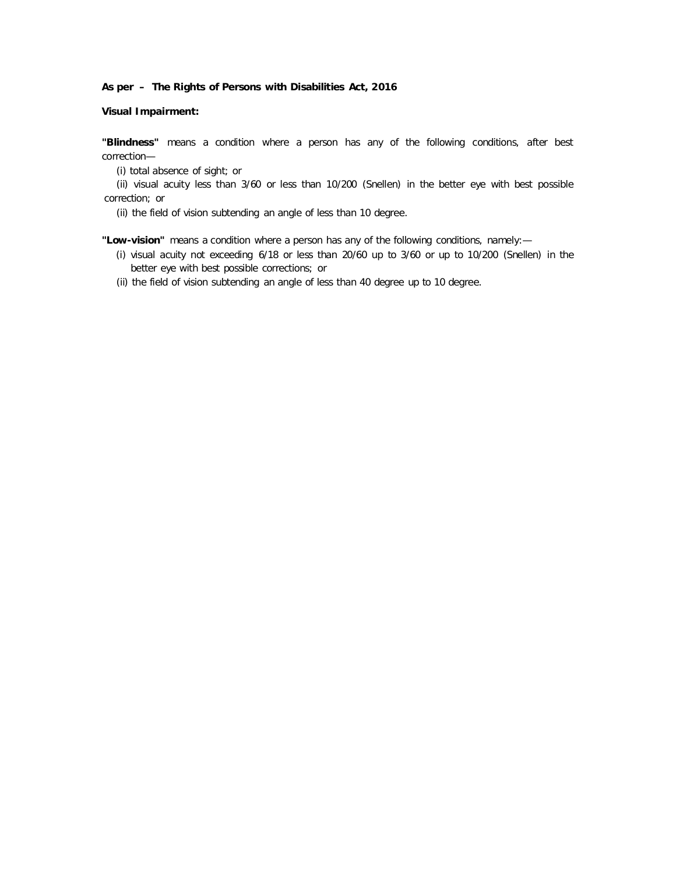## **Visual Impairment:**

**"Blindness"** means a condition where a person has any of the following conditions, after best correction—

(i) total absence of sight; or

(ii) visual acuity less than 3/60 or less than 10/200 (Snellen) in the better eye with best possible correction; or

(ii) the field of vision subtending an angle of less than 10 degree.

**"Low-vision"** means a condition where a person has any of the following conditions, namely:—

- (i) visual acuity not exceeding 6/18 or less than 20/60 up to 3/60 or up to 10/200 (Snellen) in the better eye with best possible corrections; or
- (ii) the field of vision subtending an angle of less than 40 degree up to 10 degree.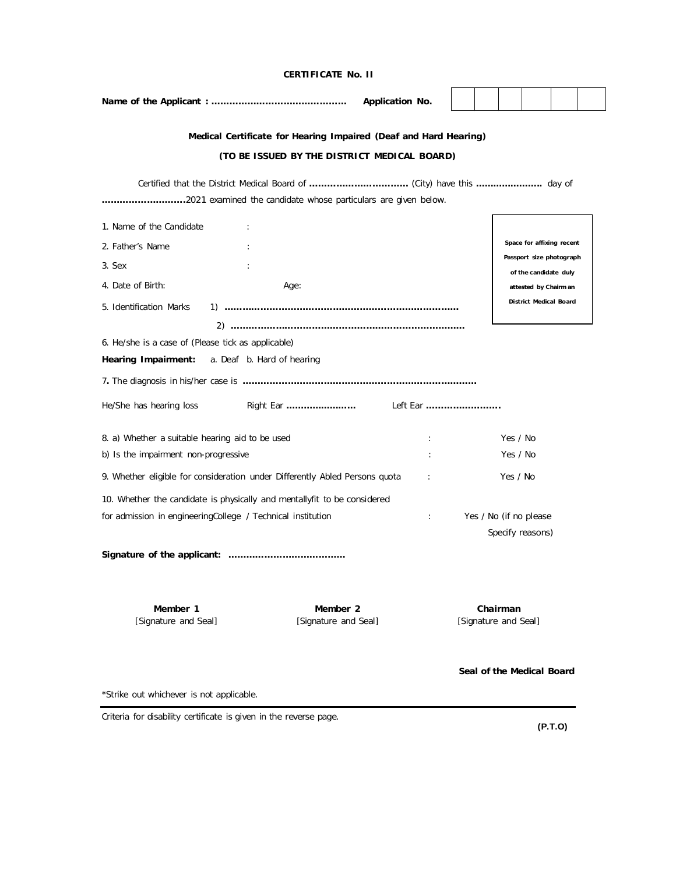|                                                                                                           | Medical Certificate for Hearing Impaired (Deaf and Hard Hearing) |   |          |          |                                                   |  |  |
|-----------------------------------------------------------------------------------------------------------|------------------------------------------------------------------|---|----------|----------|---------------------------------------------------|--|--|
|                                                                                                           | (TO BE ISSUED BY THE DISTRICT MEDICAL BOARD)                     |   |          |          |                                                   |  |  |
|                                                                                                           |                                                                  |   |          |          |                                                   |  |  |
|                                                                                                           | 2021 examined the candidate whose particulars are given below.   |   |          |          |                                                   |  |  |
| 1. Name of the Candidate                                                                                  | $\ddot{\cdot}$                                                   |   |          |          |                                                   |  |  |
| 2. Father's Name                                                                                          |                                                                  |   |          |          | Space for affixing recent                         |  |  |
| 3. Sex                                                                                                    |                                                                  |   |          |          | Passport size photograph<br>of the candidate duly |  |  |
| 4. Date of Birth:                                                                                         | Age:                                                             |   |          |          | attested by Chairm an                             |  |  |
| 5. Identification Marks                                                                                   |                                                                  |   |          |          | District Medical Board                            |  |  |
|                                                                                                           |                                                                  |   |          |          |                                                   |  |  |
| 6. He/she is a case of (Please tick as applicable)                                                        |                                                                  |   |          |          |                                                   |  |  |
| Hearing Impairment:                                                                                       | a. Deaf b. Hard of hearing                                       |   |          |          |                                                   |  |  |
|                                                                                                           |                                                                  |   |          |          |                                                   |  |  |
| He/She has hearing loss                                                                                   |                                                                  |   |          |          |                                                   |  |  |
| 8. a) Whether a suitable hearing aid to be used                                                           |                                                                  | ÷ |          | Yes / No |                                                   |  |  |
| b) Is the impairment non-progressive                                                                      | $\ddot{\phantom{a}}$                                             |   | Yes / No |          |                                                   |  |  |
| 9. Whether eligible for consideration under Differently Abled Persons quota<br>Yes / No<br>$\mathbb{R}^2$ |                                                                  |   |          |          |                                                   |  |  |
| 10. Whether the candidate is physically and mentallyfit to be considered                                  |                                                                  |   |          |          |                                                   |  |  |
| Yes / No (if no please<br>for admission in engineeringCollege / Technical institution<br>÷.               |                                                                  |   |          |          |                                                   |  |  |
| Specify reasons)                                                                                          |                                                                  |   |          |          |                                                   |  |  |
|                                                                                                           |                                                                  |   |          |          |                                                   |  |  |

**CERTIFICATE No. II**

**Member 1** [Signature and Seal]

**Member 2** [Signature and Seal]

**Chairman** [Signature and Seal]

**Seal of the Medical Board**

\*Strike out whichever is not applicable.

Criteria for disability certificate is given in the reverse page.

**(P.T.O)**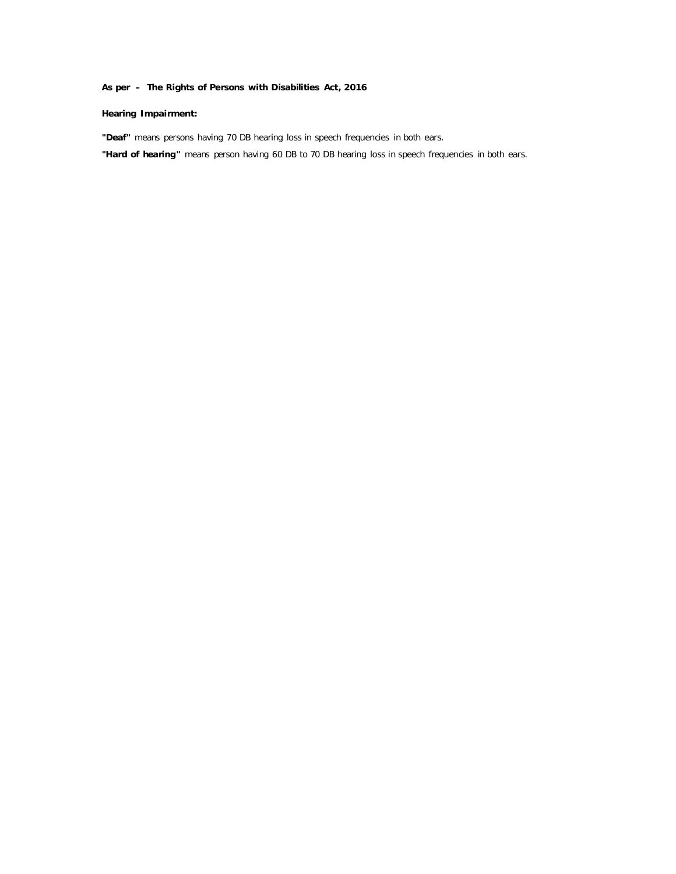## **Hearing Impairment:**

**"Deaf"** means persons having 70 DB hearing loss in speech frequencies in both ears.

**"Hard of hearing"** means person having 60 DB to 70 DB hearing loss in speech frequencies in both ears.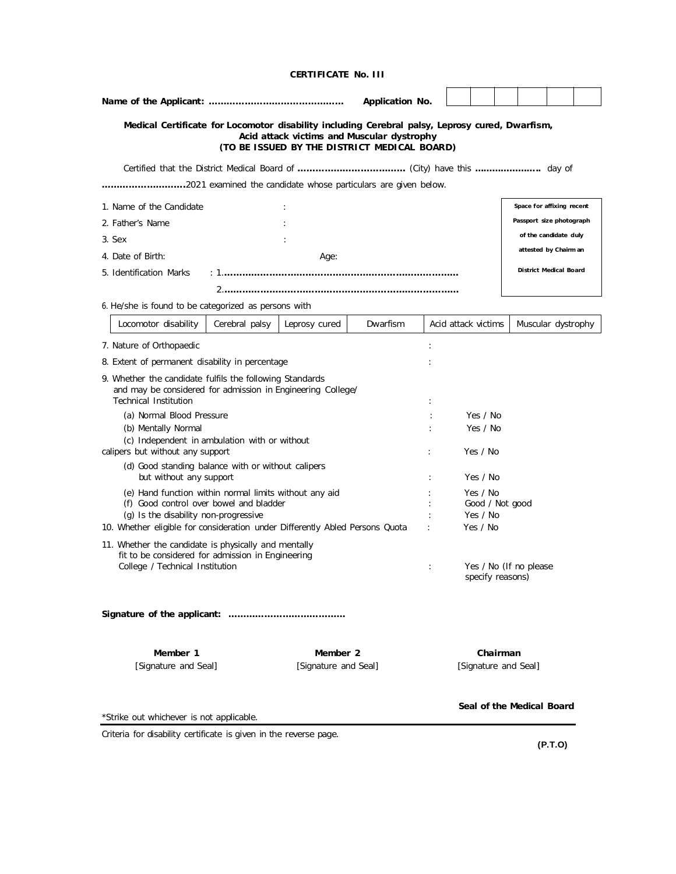|                                                                                                                                                         |                                                   |               | Application No.                                                                            |   |                                            |                             |                          |                           |         |  |  |
|---------------------------------------------------------------------------------------------------------------------------------------------------------|---------------------------------------------------|---------------|--------------------------------------------------------------------------------------------|---|--------------------------------------------|-----------------------------|--------------------------|---------------------------|---------|--|--|
| Medical Certificate for Locomotor disability including Cerebral palsy, Leprosy cured, Dwarfism,                                                         |                                                   |               | Acid attack victims and Muscular dystrophy<br>(TO BE ISSUED BY THE DISTRICT MEDICAL BOARD) |   |                                            |                             |                          |                           |         |  |  |
|                                                                                                                                                         |                                                   |               |                                                                                            |   |                                            |                             |                          |                           |         |  |  |
| 2021 examined the candidate whose particulars are given below.                                                                                          |                                                   |               |                                                                                            |   |                                            |                             |                          |                           |         |  |  |
| 1. Name of the Candidate                                                                                                                                |                                                   |               |                                                                                            |   |                                            |                             |                          | Space for affixing recent |         |  |  |
| 2. Father's Name                                                                                                                                        |                                                   |               |                                                                                            |   |                                            |                             | Passport size photograph |                           |         |  |  |
| 3. Sex                                                                                                                                                  |                                                   |               |                                                                                            |   |                                            |                             |                          | of the candidate duly     |         |  |  |
| 4. Date of Birth:                                                                                                                                       |                                                   | Age:          |                                                                                            |   |                                            |                             |                          | attested by Chairm an     |         |  |  |
| 5. Identification Marks                                                                                                                                 |                                                   |               |                                                                                            |   |                                            |                             |                          | District Medical Board    |         |  |  |
|                                                                                                                                                         |                                                   |               |                                                                                            |   |                                            |                             |                          |                           |         |  |  |
| 6. He/she is found to be categorized as persons with                                                                                                    |                                                   |               |                                                                                            |   |                                            |                             |                          |                           |         |  |  |
| Locomotor disability                                                                                                                                    | Cerebral palsy                                    | Leprosy cured | Dwarfism                                                                                   |   |                                            | Acid attack victims         |                          | Muscular dystrophy        |         |  |  |
| 7. Nature of Orthopaedic                                                                                                                                |                                                   |               |                                                                                            | ÷ |                                            |                             |                          |                           |         |  |  |
| 8. Extent of permanent disability in percentage                                                                                                         |                                                   |               |                                                                                            |   |                                            |                             |                          |                           |         |  |  |
| 9. Whether the candidate fulfils the following Standards<br>and may be considered for admission in Engineering College/<br><b>Technical Institution</b> |                                                   |               |                                                                                            |   |                                            |                             |                          |                           |         |  |  |
| (a) Normal Blood Pressure<br>Yes / No                                                                                                                   |                                                   |               |                                                                                            |   |                                            |                             |                          |                           |         |  |  |
| (b) Mentally Normal                                                                                                                                     |                                                   |               |                                                                                            |   | Yes / No                                   |                             |                          |                           |         |  |  |
| (c) Independent in ambulation with or without<br>calipers but without any support                                                                       |                                                   |               |                                                                                            |   |                                            | Yes / No                    |                          |                           |         |  |  |
| (d) Good standing balance with or without calipers                                                                                                      |                                                   |               |                                                                                            |   |                                            |                             |                          |                           |         |  |  |
| but without any support                                                                                                                                 |                                                   |               |                                                                                            |   |                                            | Yes / No                    |                          |                           |         |  |  |
| (e) Hand function within normal limits without any aid<br>(f) Good control over bowel and bladder                                                       |                                                   |               |                                                                                            |   |                                            | Yes / No<br>Good / Not good |                          |                           |         |  |  |
|                                                                                                                                                         | (q) Is the disability non-progressive<br>Yes / No |               |                                                                                            |   |                                            |                             |                          |                           |         |  |  |
| 10. Whether eligible for consideration under Differently Abled Persons Quota<br>Yes / No                                                                |                                                   |               |                                                                                            |   |                                            |                             |                          |                           |         |  |  |
| 11. Whether the candidate is physically and mentally                                                                                                    |                                                   |               |                                                                                            |   |                                            |                             |                          |                           |         |  |  |
| fit to be considered for admission in Engineering<br>College / Technical Institution                                                                    |                                                   |               |                                                                                            |   | Yes / No (If no please<br>specify reasons) |                             |                          |                           |         |  |  |
|                                                                                                                                                         |                                                   |               |                                                                                            |   |                                            |                             |                          |                           |         |  |  |
| Member 1<br>Member 2<br>Chairman<br>[Signature and Seal]<br>[Signature and Seal]<br>[Signature and Seal]                                                |                                                   |               |                                                                                            |   |                                            |                             |                          |                           |         |  |  |
| *Strike out whichever is not applicable.                                                                                                                |                                                   |               |                                                                                            |   |                                            |                             |                          | Seal of the Medical Board |         |  |  |
| Criteria for disability certificate is given in the reverse page.                                                                                       |                                                   |               |                                                                                            |   |                                            |                             |                          |                           |         |  |  |
|                                                                                                                                                         |                                                   |               |                                                                                            |   |                                            |                             |                          |                           | (P.T.O) |  |  |

**CERTIFICATE No. III**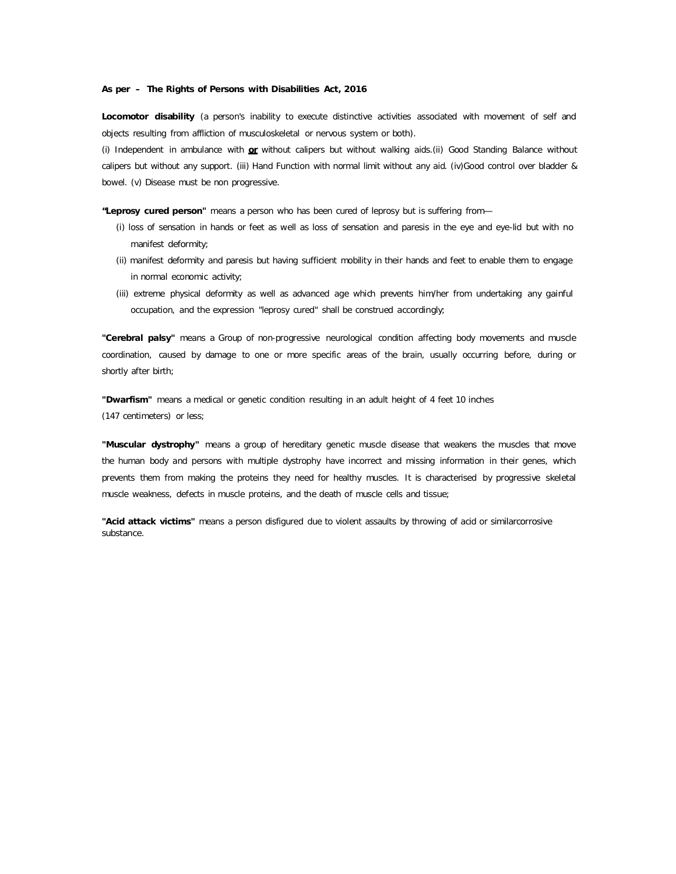**Locomotor disability** (a person's inability to execute distinctive activities associated with movement of self and objects resulting from affliction of musculoskeletal or nervous system or both).

(i) Independent in ambulance with **or** without calipers but without walking aids.(ii) Good Standing Balance without calipers but without any support. (iii) Hand Function with normal limit without any aid. (iv)Good control over bladder & bowel. (v) Disease must be non progressive.

**"Leprosy cured person"** means a person who has been cured of leprosy but is suffering from—

- (i) loss of sensation in hands or feet as well as loss of sensation and paresis in the eye and eye-lid but with no manifest deformity;
- (ii) manifest deformity and paresis but having sufficient mobility in their hands and feet to enable them to engage in normal economic activity;
- (iii) extreme physical deformity as well as advanced age which prevents him/her from undertaking any gainful occupation, and the expression "leprosy cured" shall be construed accordingly;

**"Cerebral palsy"** means a Group of non-progressive neurological condition affecting body movements and muscle coordination, caused by damage to one or more specific areas of the brain, usually occurring before, during or shortly after birth;

**"Dwarfism"** means a medical or genetic condition resulting in an adult height of 4 feet 10 inches (147 centimeters) or less;

**"Muscular dystrophy"** means a group of hereditary genetic muscle disease that weakens the muscles that move the human body and persons with multiple dystrophy have incorrect and missing information in their genes, which prevents them from making the proteins they need for healthy muscles. It is characterised by progressive skeletal muscle weakness, defects in muscle proteins, and the death of muscle cells and tissue;

**"Acid attack victims"** means a person disfigured due to violent assaults by throwing of acid or similarcorrosive substance.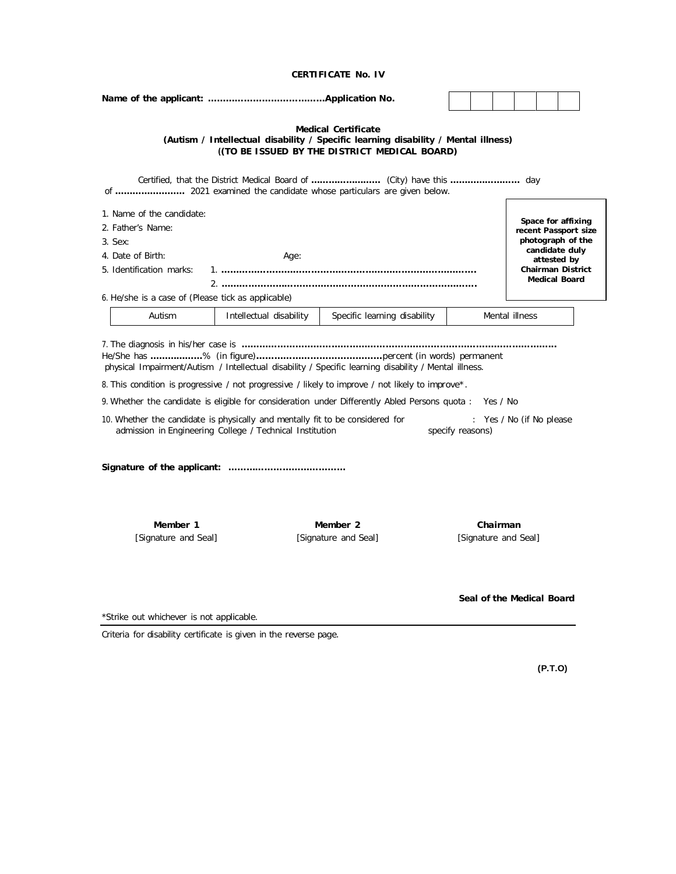|                                                                                                                                                                  |                                                          | <b>Medical Certificate</b><br>(Autism / Intellectual disability / Specific learning disability / Mental illness)<br>((TO BE ISSUED BY THE DISTRICT MEDICAL BOARD)                                  |                  |          |                           |                                                                                                                                               |  |
|------------------------------------------------------------------------------------------------------------------------------------------------------------------|----------------------------------------------------------|----------------------------------------------------------------------------------------------------------------------------------------------------------------------------------------------------|------------------|----------|---------------------------|-----------------------------------------------------------------------------------------------------------------------------------------------|--|
|                                                                                                                                                                  |                                                          |                                                                                                                                                                                                    |                  |          |                           |                                                                                                                                               |  |
| 1. Name of the candidate:<br>2. Father's Name:<br>3. Sex:<br>4. Date of Birth:<br>5. Identification marks:<br>6. He/she is a case of (Please tick as applicable) | Age:                                                     |                                                                                                                                                                                                    |                  |          |                           | Space for affixing<br>recent Passport size<br>photograph of the<br>candidate duly<br>attested by<br>Chairman District<br><b>Medical Board</b> |  |
| Autism                                                                                                                                                           | Intellectual disability                                  | Specific learning disability                                                                                                                                                                       |                  |          | Mental illness            |                                                                                                                                               |  |
| 10. Whether the candidate is physically and mentally fit to be considered for                                                                                    | admission in Engineering College / Technical Institution | 8. This condition is progressive / not progressive / likely to improve / not likely to improve*.<br>9. Whether the candidate is eligible for consideration under Differently Abled Persons quota : | specify reasons) | Yes / No | : Yes / No (if No please  |                                                                                                                                               |  |
| Member 1<br>[Signature and Seal]                                                                                                                                 |                                                          | Member 2<br>[Signature and Seal]                                                                                                                                                                   |                  | Chairman | [Signature and Seal]      |                                                                                                                                               |  |
| *Strike out whichever is not applicable.                                                                                                                         |                                                          |                                                                                                                                                                                                    |                  |          | Seal of the Medical Board |                                                                                                                                               |  |
| Criteria for disability certificate is given in the reverse page.                                                                                                |                                                          |                                                                                                                                                                                                    |                  |          |                           |                                                                                                                                               |  |
|                                                                                                                                                                  |                                                          |                                                                                                                                                                                                    |                  |          |                           | (P.T.O)                                                                                                                                       |  |

**CERTIFICATE No. IV**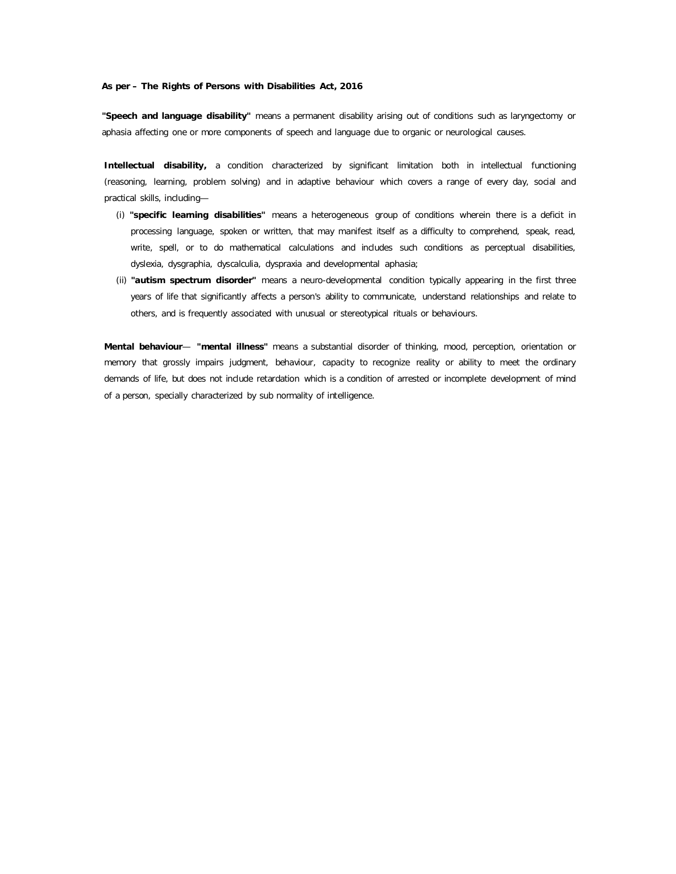**"Speech and language disability"** means a permanent disability arising out of conditions such as laryngectomy or aphasia affecting one or more components of speech and language due to organic or neurological causes.

**Intellectual disability,** a condition characterized by significant limitation both in intellectual functioning (reasoning, learning, problem solving) and in adaptive behaviour which covers a range of every day, social and practical skills, including—

- (i) **"specific learning disabilities"** means a heterogeneous group of conditions wherein there is a deficit in processing language, spoken or written, that may manifest itself as a difficulty to comprehend, speak, read, write, spell, or to do mathematical calculations and includes such conditions as perceptual disabilities, dyslexia, dysgraphia, dyscalculia, dyspraxia and developmental aphasia;
- (ii) **"autism spectrum disorder"** means a neuro-developmental condition typically appearing in the first three years of life that significantly affects a person's ability to communicate, understand relationships and relate to others, and is frequently associated with unusual or stereotypical rituals or behaviours.

**Mental behaviour**— **"mental illness"** means a substantial disorder of thinking, mood, perception, orientation or memory that grossly impairs judgment, behaviour, capacity to recognize reality or ability to meet the ordinary demands of life, but does not include retardation which is a condition of arrested or incomplete development of mind of a person, specially characterized by sub normality of intelligence.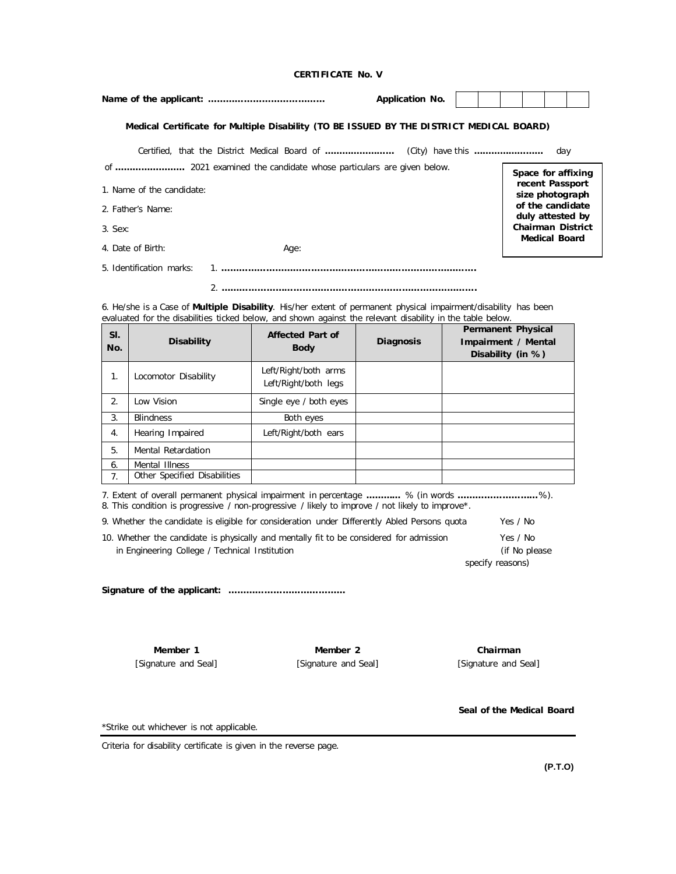## **CERTIFICATE No. V**

|                                                                 |                                                                                                                                                                                                                                       |                                              | <b>Application No.</b> |  |                                                                       |  |  |
|-----------------------------------------------------------------|---------------------------------------------------------------------------------------------------------------------------------------------------------------------------------------------------------------------------------------|----------------------------------------------|------------------------|--|-----------------------------------------------------------------------|--|--|
|                                                                 | Medical Certificate for Multiple Disability (TO BE ISSUED BY THE DISTRICT MEDICAL BOARD)                                                                                                                                              |                                              |                        |  |                                                                       |  |  |
|                                                                 |                                                                                                                                                                                                                                       |                                              |                        |  | day                                                                   |  |  |
| Space for affixing                                              |                                                                                                                                                                                                                                       |                                              |                        |  |                                                                       |  |  |
| recent Passport<br>1. Name of the candidate:<br>size photograph |                                                                                                                                                                                                                                       |                                              |                        |  |                                                                       |  |  |
| of the candidate<br>2. Father's Name:<br>duly attested by       |                                                                                                                                                                                                                                       |                                              |                        |  |                                                                       |  |  |
|                                                                 | <b>Chairman District</b><br>3. Sex:                                                                                                                                                                                                   |                                              |                        |  |                                                                       |  |  |
|                                                                 | <b>Medical Board</b><br>4. Date of Birth:<br>Age:                                                                                                                                                                                     |                                              |                        |  |                                                                       |  |  |
|                                                                 | 5. Identification marks:                                                                                                                                                                                                              |                                              |                        |  |                                                                       |  |  |
|                                                                 |                                                                                                                                                                                                                                       |                                              |                        |  |                                                                       |  |  |
|                                                                 | 6. He/she is a Case of <b>Multiple Disability</b> . His/her extent of permanent physical impairment/disability has been<br>evaluated for the disabilities ticked below, and shown against the relevant disability in the table below. |                                              |                        |  |                                                                       |  |  |
| SI.<br>No.                                                      | <b>Disability</b>                                                                                                                                                                                                                     | <b>Affected Part of</b><br><b>Body</b>       | <b>Diagnosis</b>       |  | <b>Permanent Physical</b><br>Impairment / Mental<br>Disability (in %) |  |  |
| 1.                                                              | Locomotor Disability                                                                                                                                                                                                                  | Left/Right/both arms<br>Left/Right/both legs |                        |  |                                                                       |  |  |
| 2.                                                              | Low Vision                                                                                                                                                                                                                            | Single eye / both eyes                       |                        |  |                                                                       |  |  |
| 3.                                                              | <b>Blindness</b>                                                                                                                                                                                                                      | Both eyes                                    |                        |  |                                                                       |  |  |
| 4.                                                              | Hearing Impaired                                                                                                                                                                                                                      | Left/Right/both ears                         |                        |  |                                                                       |  |  |

7. Extent of overall permanent physical impairment in percentage **…………** % (in words **………………………**%). 8. This condition is progressive / non-progressive / likely to improve / not likely to improve\*.

| 9. Whether the candidate is eligible for consideration under Differently Abled Persons quota | Yes / No |
|----------------------------------------------------------------------------------------------|----------|
| 10. Whether the candidate is physically and mentally fit to be considered for admission      | Yes / No |

| in Engineering College / Technical Institution | (if No please)   |
|------------------------------------------------|------------------|
|                                                | specify reasons) |

**Signature of the applicant: …………………………………**

**Member 1** [Signature and Seal]

5. Mental Retardation 6. Mental Illness

7. Other Specified Disabilities

**Member 2** [Signature and Seal]

**Chairman** [Signature and Seal]

**Seal of the Medical Board**

\*Strike out whichever is not applicable.

Criteria for disability certificate is given in the reverse page.